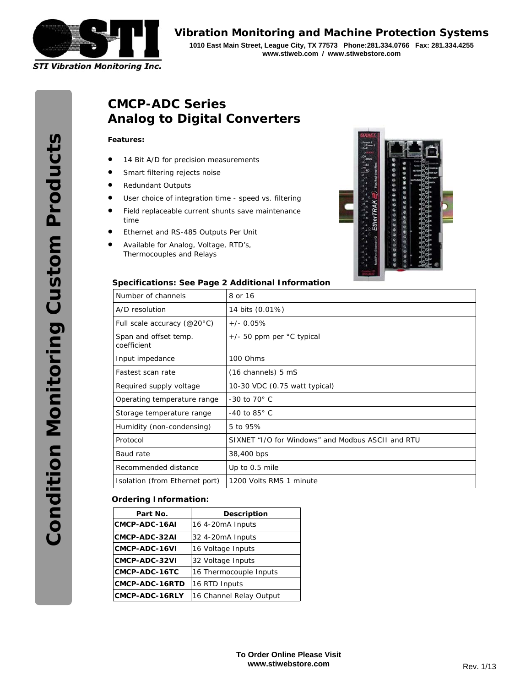

*Vibration Monitoring and Machine Protection Systems* **1010 East Main Street, League City, TX 77573 Phone:281.334.0766 Fax: 281.334.4255 www.stiweb.com / www.stiwebstore.com** 

# **CMCP-ADC Series Analog to Digital Converters**

#### **Features:**

- 14 Bit A/D for precision measurements
- **•** Smart filtering rejects noise
- Redundant Outputs
- User choice of integration time speed vs. filtering
- **•** Field replaceable current shunts save maintenance time
- Ethernet and RS-485 Outputs Per Unit
- Available for Analog, Voltage, RTD's, Thermocouples and Relays



#### **Specifications: See Page 2 Additional Information**

| Number of channels                   | 8 or 16                                           |
|--------------------------------------|---------------------------------------------------|
| A/D resolution                       | 14 bits (0.01%)                                   |
| Full scale accuracy ( $@20°C$ )      | $+/- 0.05%$                                       |
| Span and offset temp.<br>coefficient | $+/-$ 50 ppm per $°C$ typical                     |
| Input impedance                      | 100 Ohms                                          |
| Fastest scan rate                    | (16 channels) 5 mS                                |
| Required supply voltage              | 10-30 VDC (0.75 watt typical)                     |
| Operating temperature range          | -30 to $70^\circ$ C                               |
| Storage temperature range            | $-40$ to 85 $^{\circ}$ C                          |
| Humidity (non-condensing)            | 5 to 95%                                          |
| Protocol                             | SIXNET "I/O for Windows" and Modbus ASCII and RTU |
| Baud rate                            | 38,400 bps                                        |
| Recommended distance                 | Up to 0.5 mile                                    |
| Isolation (from Ethernet port)       | 1200 Volts RMS 1 minute                           |

#### **Ordering Information:**

| Part No.       | <b>Description</b>      |
|----------------|-------------------------|
| CMCP-ADC-16AI  | 16 4-20mA Inputs        |
| CMCP-ADC-32AI  | 32 4-20mA Inputs        |
| CMCP-ADC-16VI  | 16 Voltage Inputs       |
| CMCP-ADC-32VI  | 32 Voltage Inputs       |
| CMCP-ADC-16TC  | 16 Thermocouple Inputs  |
| CMCP-ADC-16RTD | 16 RTD Inputs           |
| CMCP-ADC-16RLY | 16 Channel Relay Output |